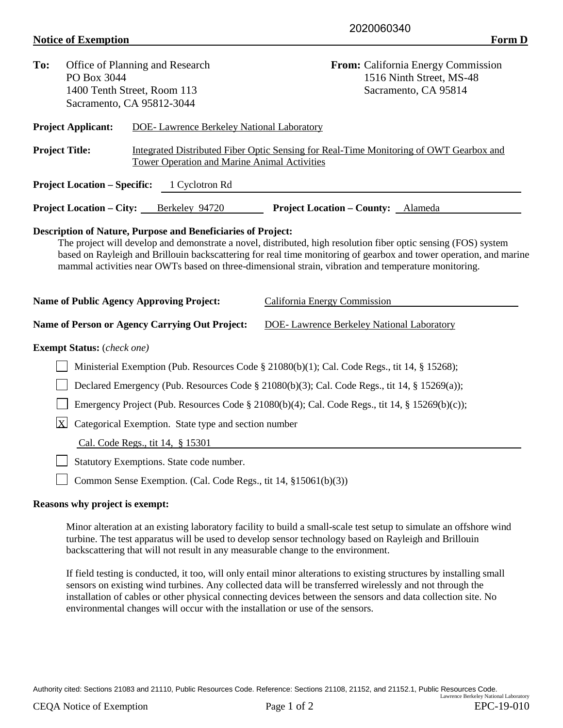## **Notice of Exemption** Form D

| To:                                                                                                                                                                                                                                                                                                                                                                                                                                                                     | Office of Planning and Research<br>PO Box 3044<br>1400 Tenth Street, Room 113 |                                                                 | <b>From:</b> California Energy Commission<br>1516 Ninth Street, MS-48<br>Sacramento, CA 95814 |  |  |  |
|-------------------------------------------------------------------------------------------------------------------------------------------------------------------------------------------------------------------------------------------------------------------------------------------------------------------------------------------------------------------------------------------------------------------------------------------------------------------------|-------------------------------------------------------------------------------|-----------------------------------------------------------------|-----------------------------------------------------------------------------------------------|--|--|--|
|                                                                                                                                                                                                                                                                                                                                                                                                                                                                         |                                                                               |                                                                 |                                                                                               |  |  |  |
|                                                                                                                                                                                                                                                                                                                                                                                                                                                                         |                                                                               | Sacramento, CA 95812-3044                                       |                                                                                               |  |  |  |
|                                                                                                                                                                                                                                                                                                                                                                                                                                                                         | <b>Project Applicant:</b>                                                     | <b>DOE-</b> Lawrence Berkeley National Laboratory               |                                                                                               |  |  |  |
| <b>Project Title:</b>                                                                                                                                                                                                                                                                                                                                                                                                                                                   |                                                                               | <b>Tower Operation and Marine Animal Activities</b>             | Integrated Distributed Fiber Optic Sensing for Real-Time Monitoring of OWT Gearbox and        |  |  |  |
|                                                                                                                                                                                                                                                                                                                                                                                                                                                                         | <b>Project Location – Specific:</b>                                           | 1 Cyclotron Rd                                                  |                                                                                               |  |  |  |
|                                                                                                                                                                                                                                                                                                                                                                                                                                                                         | <b>Project Location – City:</b>                                               | Berkeley 94720                                                  | <b>Project Location – County:</b> Alameda                                                     |  |  |  |
| <b>Description of Nature, Purpose and Beneficiaries of Project:</b><br>The project will develop and demonstrate a novel, distributed, high resolution fiber optic sensing (FOS) system<br>based on Rayleigh and Brillouin backscattering for real time monitoring of gearbox and tower operation, and marine<br>mammal activities near OWTs based on three-dimensional strain, vibration and temperature monitoring.<br><b>Name of Public Agency Approving Project:</b> |                                                                               |                                                                 |                                                                                               |  |  |  |
|                                                                                                                                                                                                                                                                                                                                                                                                                                                                         |                                                                               |                                                                 | California Energy Commission                                                                  |  |  |  |
|                                                                                                                                                                                                                                                                                                                                                                                                                                                                         |                                                                               | Name of Person or Agency Carrying Out Project:                  | <b>DOE-Lawrence Berkeley National Laboratory</b>                                              |  |  |  |
|                                                                                                                                                                                                                                                                                                                                                                                                                                                                         | <b>Exempt Status:</b> (check one)                                             |                                                                 |                                                                                               |  |  |  |
| Ministerial Exemption (Pub. Resources Code § 21080(b)(1); Cal. Code Regs., tit 14, § 15268);                                                                                                                                                                                                                                                                                                                                                                            |                                                                               |                                                                 |                                                                                               |  |  |  |
| Declared Emergency (Pub. Resources Code § 21080(b)(3); Cal. Code Regs., tit 14, § 15269(a));                                                                                                                                                                                                                                                                                                                                                                            |                                                                               |                                                                 |                                                                                               |  |  |  |
| Emergency Project (Pub. Resources Code § 21080(b)(4); Cal. Code Regs., tit 14, § 15269(b)(c));                                                                                                                                                                                                                                                                                                                                                                          |                                                                               |                                                                 |                                                                                               |  |  |  |
| $\mathbf{X}$<br>Categorical Exemption. State type and section number                                                                                                                                                                                                                                                                                                                                                                                                    |                                                                               |                                                                 |                                                                                               |  |  |  |
|                                                                                                                                                                                                                                                                                                                                                                                                                                                                         |                                                                               | Cal. Code Regs., tit 14, § 15301                                |                                                                                               |  |  |  |
|                                                                                                                                                                                                                                                                                                                                                                                                                                                                         | Statutory Exemptions. State code number.                                      |                                                                 |                                                                                               |  |  |  |
|                                                                                                                                                                                                                                                                                                                                                                                                                                                                         |                                                                               | Common Sense Exemption. (Cal. Code Regs., tit 14, §15061(b)(3)) |                                                                                               |  |  |  |

## **Reasons why project is exempt:**

Minor alteration at an existing laboratory facility to build a small-scale test setup to simulate an offshore wind turbine. The test apparatus will be used to develop sensor technology based on Rayleigh and Brillouin backscattering that will not result in any measurable change to the environment.

If field testing is conducted, it too, will only entail minor alterations to existing structures by installing small sensors on existing wind turbines. Any collected data will be transferred wirelessly and not through the installation of cables or other physical connecting devices between the sensors and data collection site. No environmental changes will occur with the installation or use of the sensors.

Authority cited: Sections 21083 and 21110, Public Resources Code. Reference: Sections 21108, 21152, and 21152.1, Public Resources Code. Lawrence Berkeley National Laboratory